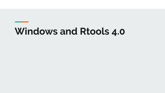# **Windows and Rtools 4.0**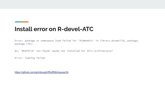### **Install error on R-devel-ATC**

Error: package or namespace load failed for 'PLNmodels' in library.dynam(lib, package, package.lib):

DLL 'Rhdf5lib' not found: maybe not installed for this architecture?

Error: loading failed

<https://github.com/grimbough/Rhdf5lib/issues/24>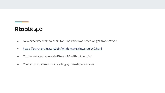#### **Rtools 4.0**

- New experimental toolchain for R on Windows based on **gcc 8** and **msys2**
- <https://cran.r-project.org/bin/windows/testing/rtools40.html>
- Can be installed alongside **Rtools 3.5** without conflict
- You can use **pacman** for installing system dependencies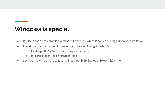### **Windows is special**

- Rhdf5lib has a pre-compiled version of libhdf5.dll which is copied during Windows installation
- I build this manually when I change HDF5 version (using **Rtools 3.5**)
	- Hard to get BioC Windows builder to match my setup
	- Is Rhdf5lib the only package that does this?
- Seemed likely that there was some incompatibility between **Rtools 3.5** & **4.0**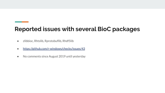## **Reported issues with several BioC packages**

- zlibbioc, Rhtslib, Rprotobuflib, Rhdf5lib
- <https://github.com/r-windows/checks/issues/43>
- No comments since August 2019 until yesterday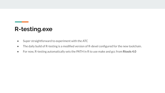## **R-testing.exe**

- Super straightforward to experiment with the ATC
- The daily build of R-testing is a modified version of R-devel configured for the new toolchain.
- For now, R-testing automatically sets the PATH in R to use make and gcc from **Rtools 4.0**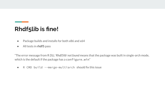## **Rhdf5lib is fine!**

- Package builds and installs for both x86 and x64
- All tests in **rhdf5** pass

"The error message from R *DLL 'Rhdf5lib' not found* means that the package was built in single-arch mode, which is the default if the package has a configure.win"

● R CMD build --merge-multiarch should fix this issue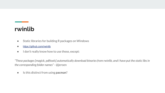### **rwinlib**

- Static libraries for building R packages on Windows
- <https://github.com/rwinlib>
- I don't really know how to use these, except:

*"These packages [magick, pdftools] automatically download binaries from rwinlib, and I have put the static libs in the corresponding folder names"* - @jeroen

● Is this distinct from using **pacman**?